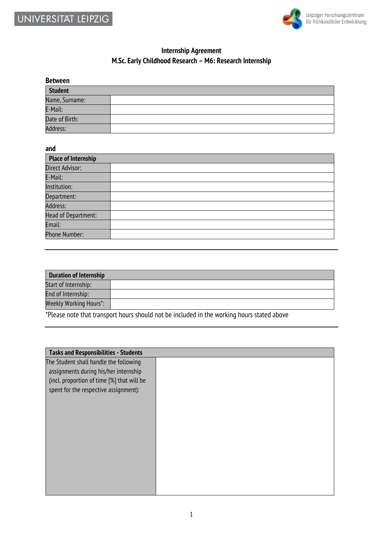



## **Internship Agreement M.Sc. Early Childhood Research – M6: Research Internship**

| <b>Between</b> |  |
|----------------|--|
| <b>Student</b> |  |
| Name, Surname: |  |
| E-Mail:        |  |
| Date of Birth: |  |
| Address:       |  |

## **and**

| <b>Place of Internship</b> |  |  |
|----------------------------|--|--|
| Direct Advisor:            |  |  |
| E-Mail:                    |  |  |
| Institution:               |  |  |
| Department:                |  |  |
| Address:                   |  |  |
| <b>Head of Department:</b> |  |  |
| Email:                     |  |  |
| Phone Number:              |  |  |

| <b>Duration of Internship</b> |  |
|-------------------------------|--|
| Start of Internship:          |  |
| End of Internship:            |  |
| <b>Weekly Working Hours*:</b> |  |

\*Please note that transport hours should not be included in the working hours stated above

| <b>Tasks and Responsibilities - Students</b> |  |
|----------------------------------------------|--|
| The Student shall handle the following       |  |
| assignments during his/her internship        |  |
| (incl. proportion of time [%] that will be   |  |
| spent for the respective assignment):        |  |
|                                              |  |
|                                              |  |
|                                              |  |
|                                              |  |
|                                              |  |
|                                              |  |
|                                              |  |
|                                              |  |
|                                              |  |
|                                              |  |
|                                              |  |
|                                              |  |